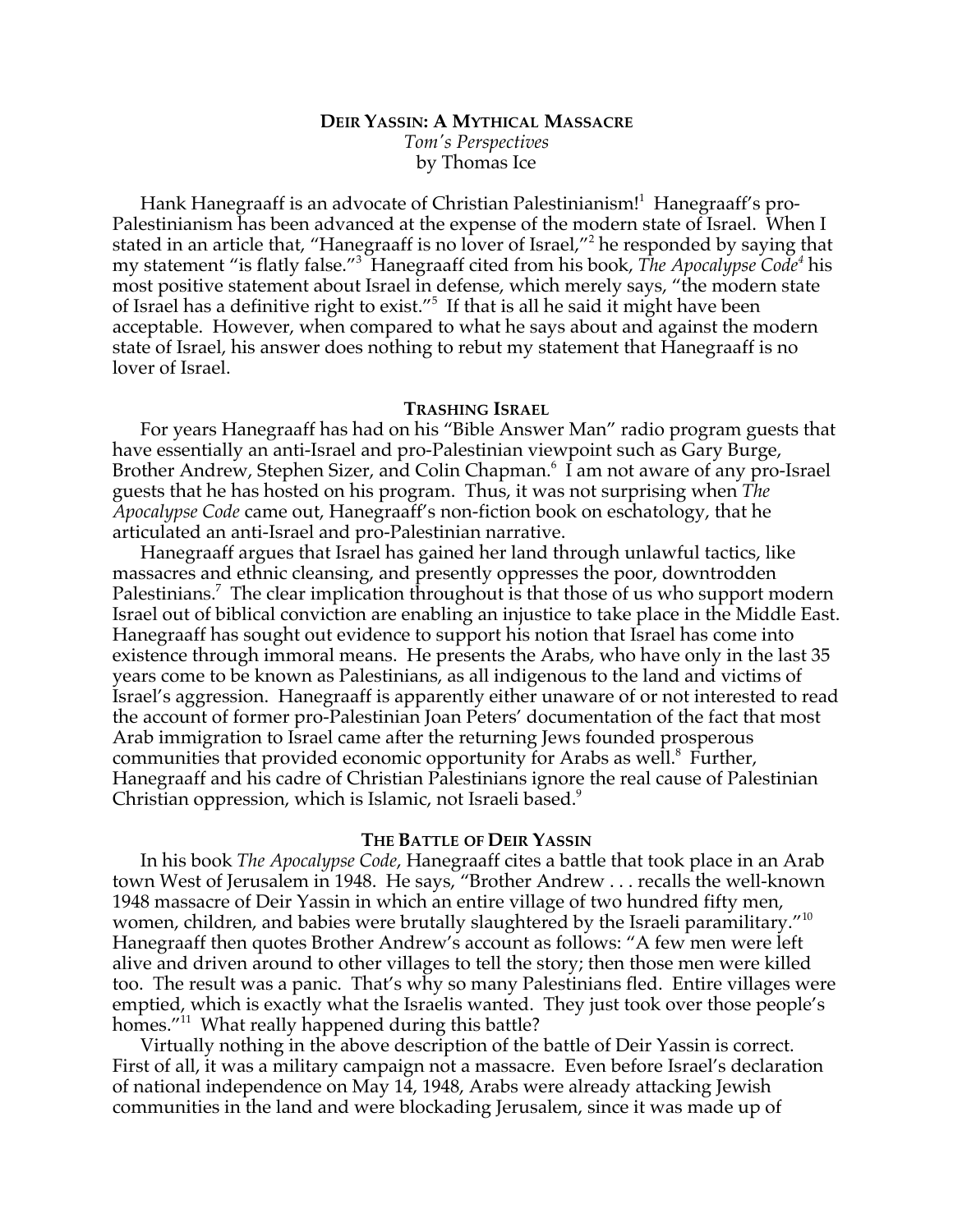# **DEIR YASSIN: A MYTHICAL MASSACRE** *Tom's Perspectives* by Thomas Ice

Hank Hanegraaff is an advocate of Christian Palestinianism!<sup>1</sup> Hanegraaff's pro-Palestinianism has been advanced at the expense of the modern state of Israel. When I stated in an article that, "Hanegraaff is no lover of Israel,"<sup>2</sup> he responded by saying that my statement "is flatly false."<sup>3</sup> Hanegraaff cited from his book, *The Apocalypse Code<sup>4</sup>* his most positive statement about Israel in defense, which merely says, "the modern state of Israel has a definitive right to exist."<sup>5</sup> If that is all he said it might have been acceptable. However, when compared to what he says about and against the modern state of Israel, his answer does nothing to rebut my statement that Hanegraaff is no lover of Israel.

## **TRASHING ISRAEL**

For years Hanegraaff has had on his "Bible Answer Man" radio program guests that have essentially an anti-Israel and pro-Palestinian viewpoint such as Gary Burge, Brother Andrew, Stephen Sizer, and Colin Chapman.<sup>6</sup> I am not aware of any pro-Israel guests that he has hosted on his program. Thus, it was not surprising when *The Apocalypse Code* came out, Hanegraaff's non-fiction book on eschatology, that he articulated an anti-Israel and pro-Palestinian narrative.

Hanegraaff argues that Israel has gained her land through unlawful tactics, like massacres and ethnic cleansing, and presently oppresses the poor, downtrodden Palestinians.<sup>7</sup> The clear implication throughout is that those of us who support modern Israel out of biblical conviction are enabling an injustice to take place in the Middle East. Hanegraaff has sought out evidence to support his notion that Israel has come into existence through immoral means. He presents the Arabs, who have only in the last 35 years come to be known as Palestinians, as all indigenous to the land and victims of Israel's aggression. Hanegraaff is apparently either unaware of or not interested to read the account of former pro-Palestinian Joan Peters' documentation of the fact that most Arab immigration to Israel came after the returning Jews founded prosperous communities that provided economic opportunity for Arabs as well.<sup>8</sup> Further, Hanegraaff and his cadre of Christian Palestinians ignore the real cause of Palestinian Christian oppression, which is Islamic, not Israeli based.<sup>9</sup>

#### **THE BATTLE OF DEIR YASSIN**

In his book *The Apocalypse Code*, Hanegraaff cites a battle that took place in an Arab town West of Jerusalem in 1948. He says, "Brother Andrew . . . recalls the well-known 1948 massacre of Deir Yassin in which an entire village of two hundred fifty men, women, children, and babies were brutally slaughtered by the Israeli paramilitary."<sup>10</sup> Hanegraaff then quotes Brother Andrew's account as follows: "A few men were left alive and driven around to other villages to tell the story; then those men were killed too. The result was a panic. That's why so many Palestinians fled. Entire villages were emptied, which is exactly what the Israelis wanted. They just took over those people's homes."<sup>11</sup> What really happened during this battle?

Virtually nothing in the above description of the battle of Deir Yassin is correct. First of all, it was a military campaign not a massacre. Even before Israel's declaration of national independence on May 14, 1948, Arabs were already attacking Jewish communities in the land and were blockading Jerusalem, since it was made up of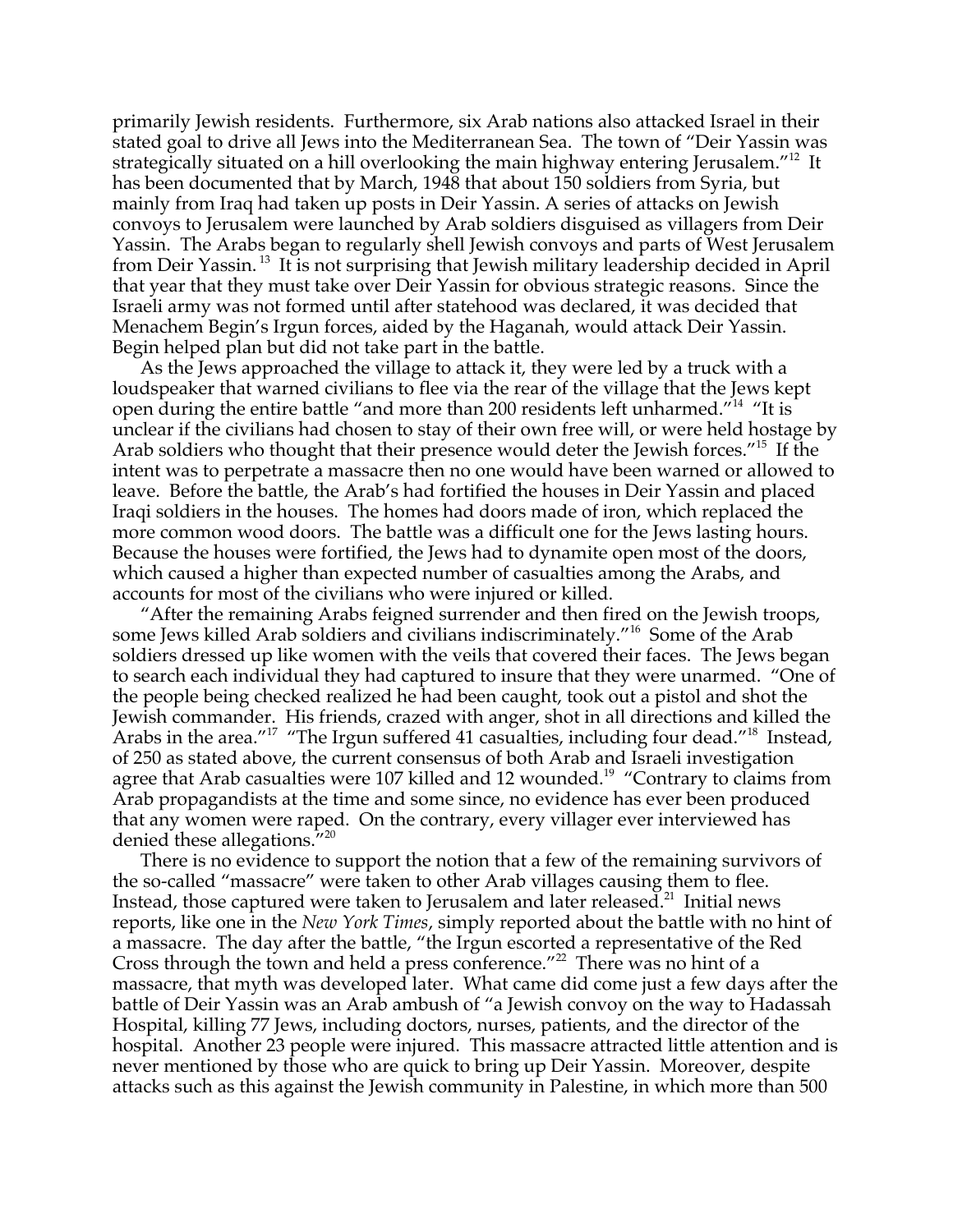primarily Jewish residents. Furthermore, six Arab nations also attacked Israel in their stated goal to drive all Jews into the Mediterranean Sea. The town of "Deir Yassin was strategically situated on a hill overlooking the main highway entering Jerusalem. $^{\prime\prime 12}$  It has been documented that by March, 1948 that about 150 soldiers from Syria, but mainly from Iraq had taken up posts in Deir Yassin. A series of attacks on Jewish convoys to Jerusalem were launched by Arab soldiers disguised as villagers from Deir Yassin. The Arabs began to regularly shell Jewish convoys and parts of West Jerusalem from Deir Yassin.<sup>13</sup> It is not surprising that Jewish military leadership decided in April that year that they must take over Deir Yassin for obvious strategic reasons. Since the Israeli army was not formed until after statehood was declared, it was decided that Menachem Begin's Irgun forces, aided by the Haganah, would attack Deir Yassin. Begin helped plan but did not take part in the battle.

As the Jews approached the village to attack it, they were led by a truck with a loudspeaker that warned civilians to flee via the rear of the village that the Jews kept open during the entire battle "and more than 200 residents left unharmed."<sup>14</sup> "It is unclear if the civilians had chosen to stay of their own free will, or were held hostage by Arab soldiers who thought that their presence would deter the Jewish forces."<sup>15</sup> If the intent was to perpetrate a massacre then no one would have been warned or allowed to leave. Before the battle, the Arab's had fortified the houses in Deir Yassin and placed Iraqi soldiers in the houses. The homes had doors made of iron, which replaced the more common wood doors. The battle was a difficult one for the Jews lasting hours. Because the houses were fortified, the Jews had to dynamite open most of the doors, which caused a higher than expected number of casualties among the Arabs, and accounts for most of the civilians who were injured or killed.

"After the remaining Arabs feigned surrender and then fired on the Jewish troops, some Jews killed Arab soldiers and civilians indiscriminately."<sup>16</sup> Some of the Arab soldiers dressed up like women with the veils that covered their faces. The Jews began to search each individual they had captured to insure that they were unarmed. "One of the people being checked realized he had been caught, took out a pistol and shot the Jewish commander. His friends, crazed with anger, shot in all directions and killed the Arabs in the area."<sup>17</sup> "The Irgun suffered 41 casualties, including four dead."<sup>18</sup> Instead, of 250 as stated above, the current consensus of both Arab and Israeli investigation agree that Arab casualties were 107 killed and 12 wounded.<sup>19</sup> "Contrary to claims from Arab propagandists at the time and some since, no evidence has ever been produced that any women were raped. On the contrary, every villager ever interviewed has denied these allegations."<sup>20</sup>

There is no evidence to support the notion that a few of the remaining survivors of the so-called "massacre" were taken to other Arab villages causing them to flee. Instead, those captured were taken to Jerusalem and later released. $^{21}$  Initial news reports, like one in the *New York Times*, simply reported about the battle with no hint of a massacre. The day after the battle, "the Irgun escorted a representative of the Red Cross through the town and held a press conference."<sup>22</sup> There was no hint of a massacre, that myth was developed later. What came did come just a few days after the battle of Deir Yassin was an Arab ambush of "a Jewish convoy on the way to Hadassah Hospital, killing 77 Jews, including doctors, nurses, patients, and the director of the hospital. Another 23 people were injured. This massacre attracted little attention and is never mentioned by those who are quick to bring up Deir Yassin. Moreover, despite attacks such as this against the Jewish community in Palestine, in which more than 500